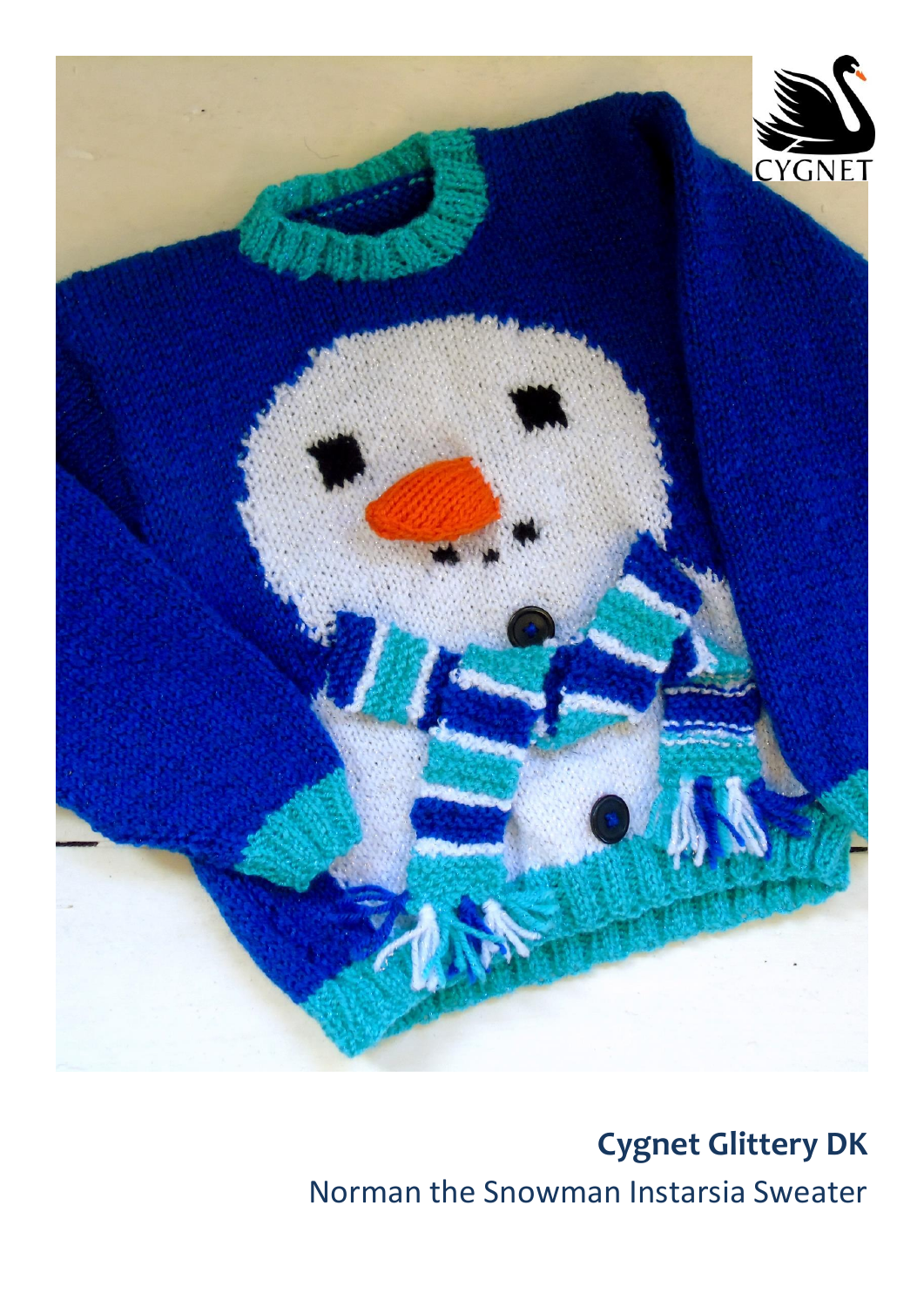

# **Cygnet Glittery DK** Norman the Snowman Instarsia Sweater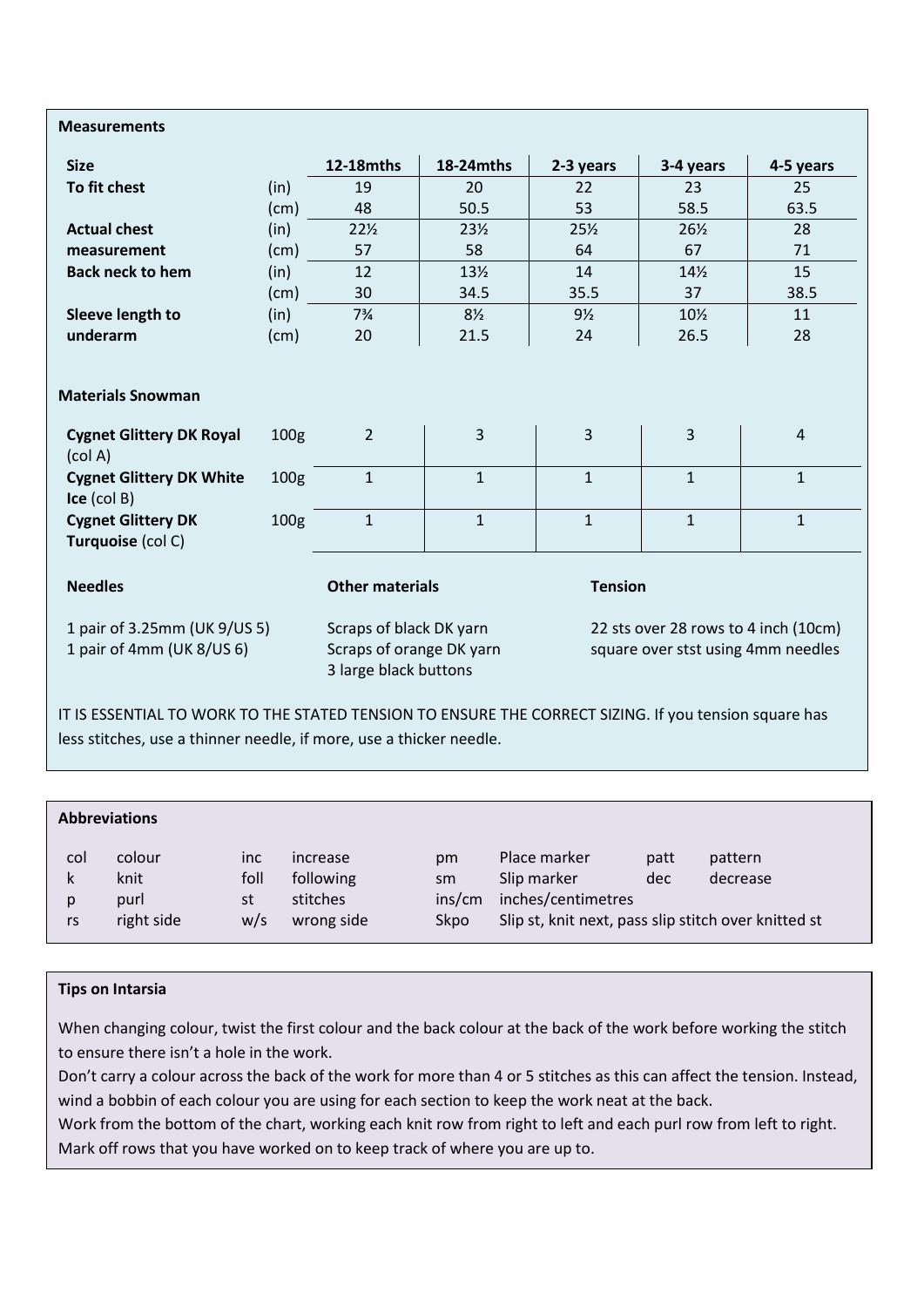#### **Measurements**

| <b>Size</b>                                                    |                  | <b>12-18mths</b>       | 18-24mths       | 2-3 years              | 3-4 years       | 4-5 years      |
|----------------------------------------------------------------|------------------|------------------------|-----------------|------------------------|-----------------|----------------|
| To fit chest                                                   | (in)             | 19                     | 20              | 22                     | 23              | 25             |
|                                                                | (cm)             | 48                     | 50.5            | 53                     | 58.5            | 63.5           |
| <b>Actual chest</b>                                            | (in)             | $22\frac{1}{2}$        | $23\frac{1}{2}$ | 25%<br>$26\frac{1}{2}$ |                 | 28             |
| measurement                                                    | (cm)             | 57                     | 58              | 64                     | 67              | 71             |
| <b>Back neck to hem</b>                                        | (in)             | 12                     | 13 <sub>2</sub> | 14                     | $14\frac{1}{2}$ | 15             |
|                                                                | (cm)             | 30                     | 34.5            | 35.5                   | 37              | 38.5           |
| Sleeve length to                                               | (in)             | $7\frac{3}{4}$         | $8\frac{1}{2}$  | $9\frac{1}{2}$         | 10½             | 11             |
| underarm                                                       | (cm)             | 20                     | 21.5            | 24                     | 26.5            | 28             |
| <b>Materials Snowman</b>                                       |                  |                        |                 |                        |                 |                |
| <b>Cygnet Glittery DK Royal</b><br>$\left(\text{col A}\right)$ | 100 <sub>g</sub> | $\overline{2}$         | 3               | 3                      | 3               | $\overline{4}$ |
| <b>Cygnet Glittery DK White</b><br>$\mathsf{Ice}$ (col B)      | 100 <sub>g</sub> | $\mathbf{1}$           | $\mathbf{1}$    | $\mathbf{1}$           | $\mathbf{1}$    | $\mathbf{1}$   |
| <b>Cygnet Glittery DK</b><br>Turquoise (col C)                 | 100 <sub>g</sub> | $\mathbf{1}$           | $\mathbf{1}$    | $\mathbf{1}$           | $\mathbf{1}$    | $\mathbf{1}$   |
| <b>Needles</b>                                                 |                  | <b>Other materials</b> |                 | <b>Tension</b>         |                 |                |

1 pair of 3.25mm (UK 9/US 5) 1 pair of 4mm (UK 8/US 6)

Scraps of black DK yarn Scraps of orange DK yarn 3 large black buttons

22 sts over 28 rows to 4 inch (10cm) square over stst using 4mm needles

IT IS ESSENTIAL TO WORK TO THE STATED TENSION TO ENSURE THE CORRECT SIZING. If you tension square has less stitches, use a thinner needle, if more, use a thicker needle.

| <b>Abbreviations</b> |                        |                          |                                   |                    |                                                      |             |                     |  |  |  |  |  |
|----------------------|------------------------|--------------------------|-----------------------------------|--------------------|------------------------------------------------------|-------------|---------------------|--|--|--|--|--|
| col<br>k<br>p        | colour<br>knit<br>purl | <i>inc</i><br>foll<br>st | increase<br>following<br>stitches | pm<br>sm<br>ins/cm | Place marker<br>Slip marker<br>inches/centimetres    | patt<br>dec | pattern<br>decrease |  |  |  |  |  |
| rs                   | right side             | w/s                      | wrong side                        | Skpo               | Slip st, knit next, pass slip stitch over knitted st |             |                     |  |  |  |  |  |

#### **Tips on Intarsia**

When changing colour, twist the first colour and the back colour at the back of the work before working the stitch to ensure there isn't a hole in the work.

Don't carry a colour across the back of the work for more than 4 or 5 stitches as this can affect the tension. Instead, wind a bobbin of each colour you are using for each section to keep the work neat at the back.

Work from the bottom of the chart, working each knit row from right to left and each purl row from left to right. Mark off rows that you have worked on to keep track of where you are up to.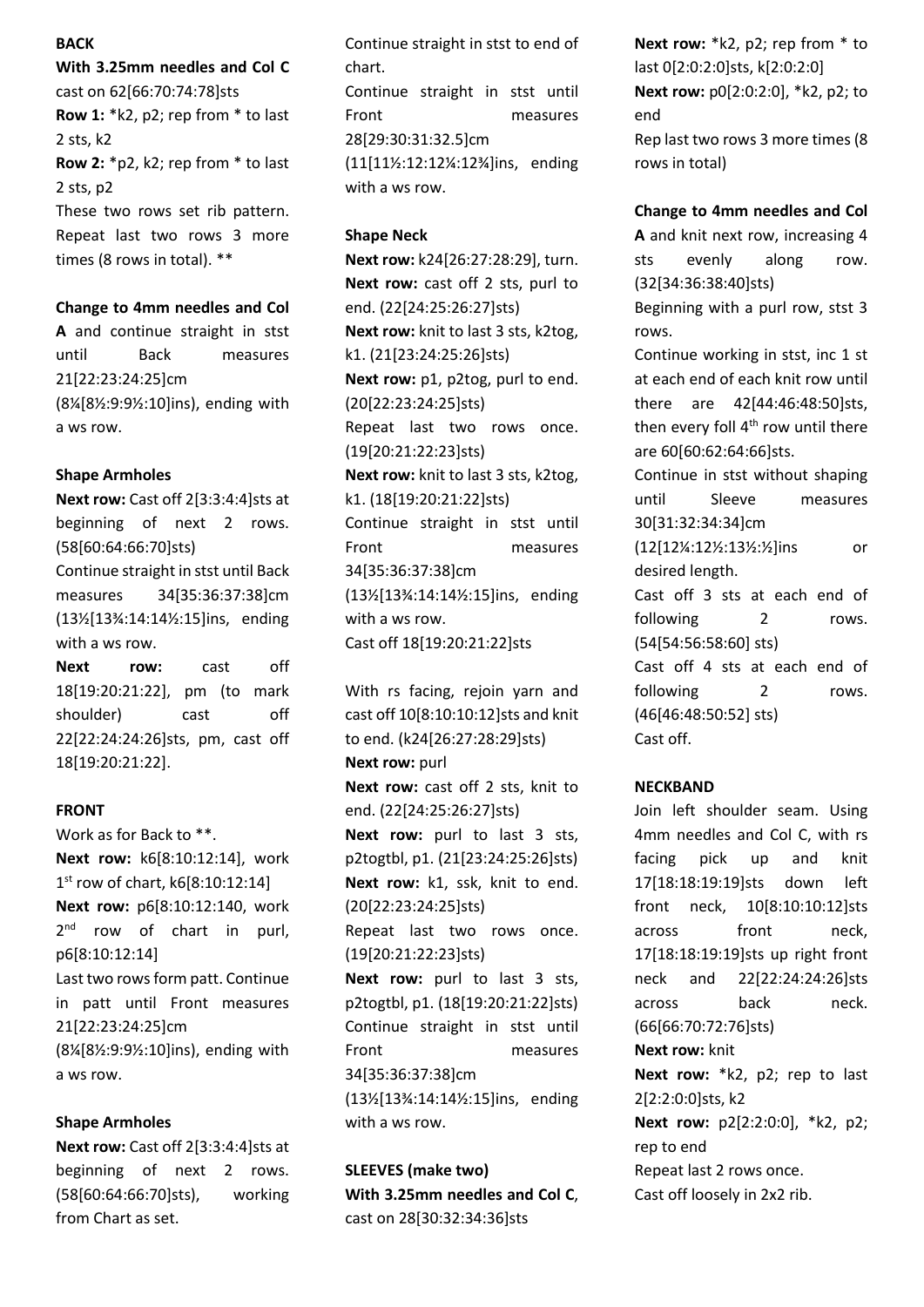#### **BACK**

**With 3.25mm needles and Col C** cast on 62[66:70:74:78]sts **Row 1:** \*k2, p2; rep from \* to last 2 sts, k2 **Row 2:** \*p2, k2; rep from \* to last 2 sts, p2 These two rows set rib pattern. Repeat last two rows 3 more times (8 rows in total). \*\*

#### **Change to 4mm needles and Col**

**A** and continue straight in stst until Back measures 21[22:23:24:25]cm (8¼[8½:9:9½:10]ins), ending with a ws row.

### **Shape Armholes**

**Next row: Cast off 2[3:3:4:4]sts at** beginning of next 2 rows. (58[60:64:66:70]sts) Continue straight in stst until Back measures 34[35:36:37:38]cm (13½[13¾:14:14½:15]ins, ending with a ws row.

**Next row:** cast off 18[19:20:21:22], pm (to mark shoulder) cast off 22[22:24:24:26]sts, pm, cast off 18[19:20:21:22].

#### **FRONT**

Work as for Back to \*\*. **Next row:** k6[8:10:12:14], work 1 st row of chart, k6[8:10:12:14] **Next row:** p6[8:10:12:140, work 2<sup>nd</sup> row of chart in purl, p6[8:10:12:14] Last two rows form patt. Continue in patt until Front measures 21[22:23:24:25]cm (8¼[8½:9:9½:10]ins), ending with a ws row.

#### **Shape Armholes**

**Next row: Cast off 2[3:3:4:4]sts at** beginning of next 2 rows. (58[60:64:66:70]sts), working from Chart as set.

Continue straight in stst to end of chart.

Continue straight in stst until Front measures 28[29:30:31:32.5]cm (11[11½:12:12¼:12¾]ins, ending with a ws row.

#### **Shape Neck**

**Next row:** k24[26:27:28:29], turn. **Next row:** cast off 2 sts, purl to end. (22[24:25:26:27]sts) **Next row:** knit to last 3 sts, k2tog, k1. (21[23:24:25:26]sts) **Next row:** p1, p2tog, purl to end. (20[22:23:24:25]sts) Repeat last two rows once. (19[20:21:22:23]sts) **Next row:** knit to last 3 sts, k2tog, k1. (18[19:20:21:22]sts) Continue straight in stst until Front measures 34[35:36:37:38]cm (13½[13¾:14:14½:15]ins, ending with a ws row. Cast off 18[19:20:21:22]sts

With rs facing, rejoin yarn and cast off 10[8:10:10:12]sts and knit to end. (k24[26:27:28:29]sts) **Next row: purl Next row:** cast off 2 sts, knit to end. (22[24:25:26:27]sts) **Next row:** purl to last 3 sts, p2togtbl, p1. (21[23:24:25:26]sts) **Next row:** k1, ssk, knit to end. (20[22:23:24:25]sts) Repeat last two rows once. (19[20:21:22:23]sts) **Next row:** purl to last 3 sts, p2togtbl, p1. (18[19:20:21:22]sts) Continue straight in stst until Front measures 34[35:36:37:38]cm (13½[13¾:14:14½:15]ins, ending with a ws row.

**SLEEVES (make two) With 3.25mm needles and Col C**, cast on 28[30:32:34:36]sts

**Next row:** \*k2, p2; rep from \* to last 0[2:0:2:0]sts, k[2:0:2:0] **Next row:** p0[2:0:2:0], \*k2, p2; to end Rep last two rows 3 more times (8 rows in total)

**Change to 4mm needles and Col A** and knit next row, increasing 4 sts evenly along row. (32[34:36:38:40]sts) Beginning with a purl row, stst 3 rows. Continue working in stst, inc 1 st at each end of each knit row until

there are 42[44:46:48:50]sts, then every foll  $4<sup>th</sup>$  row until there are 60[60:62:64:66]sts.

Continue in stst without shaping until Sleeve measures 30[31:32:34:34]cm

(12[12¼:12½:13½:½]ins or desired length.

Cast off 3 sts at each end of following 2 rows. (54[54:56:58:60] sts)

Cast off 4 sts at each end of following 2 rows. (46[46:48:50:52] sts) Cast off.

#### **NECKBAND**

Join left shoulder seam. Using 4mm needles and Col C, with rs facing pick up and knit 17[18:18:19:19]sts down left front neck, 10[8:10:10:12]sts across front neck, 17[18:18:19:19]sts up right front neck and 22[22:24:24:26]sts across back neck. (66[66:70:72:76]sts) **Next row:** knit **Next row:** \*k2, p2; rep to last 2[2:2:0:0]sts, k2 **Next row:** p2[2:2:0:0], \*k2, p2; rep to end Repeat last 2 rows once. Cast off loosely in 2x2 rib.